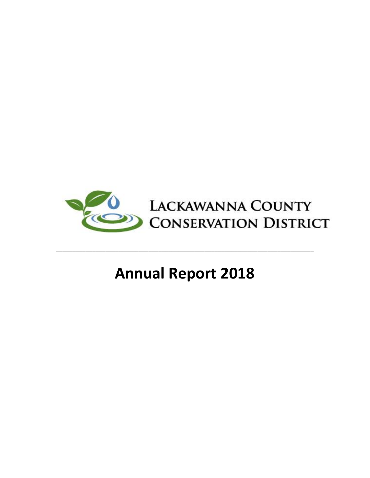

# **Annual Report 2018**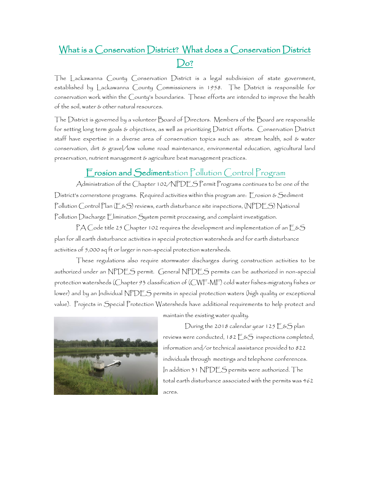# What is a Conservation District? What does a Conservation District  $Do?$

The Lackawanna County Conservation District is a legal subdivision of state government, established by Lackawanna County Commissioners in 1958. The District is responsible for conservation work within the County's boundaries. These efforts are intended to improve the health of the soil, water & other natural resources.

The District is governed by a volunteer Board of Directors. Members of the Board are responsible for setting long term goals & objectives, as well as prioritizing District efforts. Conservation District staff have expertise in a diverse area of conservation topics such as: stream health, soil & water conservation, dirt & gravel/low volume road maintenance, environmental education, agricultural land preservation, nutrient management & agriculture best management practices.

## Erosion and Sedimentation Pollution Control Program

Administration of the Chapter 102/NPDES Permit Programs continues to be one of the District's cornerstone programs. Required activities within this program are: Erosion & Sediment Pollution Control Plan (E&S) reviews, earth disturbance site inspections, (NPDES) National Pollution Discharge Elimination System permit processing, and complaint investigation.

PA Code title 25 Chapter 102 requires the development and implementation of an  $E$ &S plan for all earth disturbance activities in special protection watersheds and for earth disturbance activities of 5,000 sq ft or larger in non-special protection watersheds.

These regulations also require stormwater discharges during construction activities to be authorized under an NPDES permit. General NPDES permits can be authorized in non-special protection watersheds (Chapter 93 classification of (CWF-MF) cold water fishes-migratory fishes or lower) and by an Individual NPDES permits in special protection waters (high quality or exceptional value). Projects in Special Protection Watersheds have additional requirements to help protect and



maintain the existing water quality.

During the 2018 calendar year 125  $E$ &S plan reviews were conducted, 182  $E$ & $S$  inspections completed, information and/or technical assistance provided to 822 individuals through meetings and telephone conferences. In addition 31 NPDES permits were authorized. The total earth disturbance associated with the permits was 462 acres.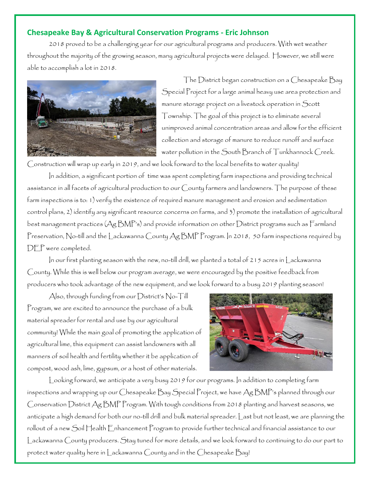#### **Chesapeake Bay & Agricultural Conservation Programs - Eric Johnson**

2018 proved to be a challenging year for our agricultural programs and producers. With wet weather throughout the majority of the growing season, many agricultural projects were delayed. However, we still were able to accomplish a lot in 2018.



The District began construction on a Chesapeake Bay Special Project for a large animal heavy use area protection and manure storage project on a livestock operation in Scott Township. The goal of this project is to eliminate several unimproved animal concentration areas and allow for the efficient collection and storage of manure to reduce runoff and surface water pollution in the South Branch of Tunkhannock Creek.

Construction will wrap up early in 2019, and we look forward to the local benefits to water quality!

In addition, a significant portion of time was spent completing farm inspections and providing technical assistance in all facets of agricultural production to our County farmers and landowners. The purpose of these farm inspections is to: 1) verify the existence of required manure management and erosion and sedimentation control plans, 2) identify any significant resource concerns on farms, and 3) promote the installation of agricultural best management practices (Ag BMP's) and provide information on other District programs such as Farmland Preservation, No-till and the Lackawanna County Ag BMP Program. In 2018, 50 farm inspections required by DEP were completed.

In our first planting season with the new, no-till drill, we planted a total of 215 acres in Lackawanna County. While this is well below our program average, we were encouraged by the positive feedback from producers who took advantage of the new equipment, and we look forward to a busy 2019 planting season!

Also, through funding from our District's No-Till Program, we are excited to announce the purchase of a bulk material spreader for rental and use by our agricultural community! While the main goal of promoting the application of agricultural lime, this equipment can assist landowners with all manners of soil health and fertility whether it be application of compost, wood ash, lime, gypsum, or a host of other materials.



Looking forward, we anticipate a very busy 2019 for our programs. In addition to completing farm inspections and wrapping up our Chesapeake Bay Special Project, we have Ag BMP's planned through our Conservation District Ag BMP Program. With tough conditions from 2018 planting and harvest seasons, we anticipate a high demand for both our no-till drill and bulk material spreader. Last but not least, we are planning the rollout of a new Soil Health Enhancement Program to provide further technical and financial assistance to our Lackawanna County producers. Stay tuned for more details, and we look forward to continuing to do our part to protect water quality here in Lackawanna County and in the Chesapeake Bay!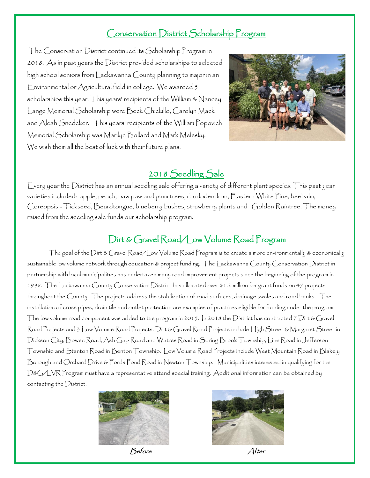## Conservation District Scholarship Program

The Conservation District continued its Scholarship Program in 2018. As in past years the District provided scholarships to selected high school seniors from Lackawanna County planning to major in an Environmental or Agricultural field in college. We awarded 5 scholarships this year. This years' recipients of the William & Nancey Lange Memorial Scholarship were Beck Chickillo, Carolyn Mack and Aleah Snedeker. This years' recipients of the William Popovich Memorial Scholarship was Marilyn Bollard and Mark Melesky. We wish them all the best of luck with their future plans.



## 2018 Seedling Sale

Every year the District has an annual seedling sale offering a variety of different plant species. This past year varieties included: apple, peach, paw paw and plum trees, rhododendron, Eastern White Pine, beebalm, Coreopsis - Tickseed, Beardtongue, blueberry bushes, strawberry plants and Golden Raintree. The money raised from the seedling sale funds our scholarship program.

# Dirt & Gravel Road/Low Volume Road Program

The goal of the Dirt & Gravel Road/Low Volume Road Program is to create a more environmentally & economically sustainable low volume network through education & project funding. The Lackawanna County Conservation District in partnership with local municipalities has undertaken many road improvement projects since the beginning of the program in 1998. The Lackawanna County Conservation District has allocated over \$1.2 million for grant funds on 47 projects throughout the County. The projects address the stabilization of road surfaces, drainage swales and road banks. The installation of cross pipes, drain tile and outlet protection are examples of practices eligible for funding under the program. The low volume road component was added to the program in 2015. In 2018 the District has contracted 7 Dirt & Gravel Road Projects and 3 Low Volume Road Projects. Dirt & Gravel Road Projects include High Street & Margaret Street in Dickson City, Bowen Road, Ash Gap Road and Watres Road in Spring Brook Township, Line Road in Jefferson Township and Stanton Road in Benton Township. Low Volume Road Projects include West Mountain Road in Blakely Borough and Orchard Drive & Fords Pond Road in Newton Township. Municipalities interested in qualifying for the D&G/LVR Program must have a representative attend special training. Additional information can be obtained by contacting the District.



```
Before After
```
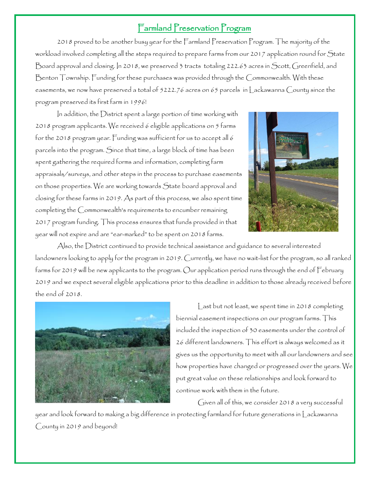## Farmland Preservation Program

2018 proved to be another busy year for the Farmland Preservation Program. The majority of the workload involved completing all the steps required to prepare farms from our 2017 application round for State Board approval and closing. In 2018, we preserved 3 tracts totaling 222.63 acres in Scott, Greenfield, and Benton Township. Funding for these purchases was provided through the Commonwealth. With these easements, we now have preserved a total of 5222.76 acres on 65 parcels in Lackawanna County since the program preserved its first farm in 1996!

In addition, the District spent a large portion of time working with 2018 program applicants. We received 6 eligible applications on 5 farms for the 2018 program year. Funding was sufficient for us to accept all 6 parcels into the program. Since that time, a large block of time has been spent gathering the required forms and information, completing farm appraisals/surveys, and other steps in the process to purchase easements on those properties. We are working towards State board approval and closing for these farms in 2019. As part of this process, we also spent time completing the Commonwealth's requirements to encumber remaining 2017 program funding. This process ensures that funds provided in that year will not expire and are "ear-marked" to be spent on 2018 farms.



Also, the District continued to provide technical assistance and guidance to several interested landowners looking to apply for the program in 2019. Currently, we have no wait-list for the program, so all ranked farms for 2019 will be new applicants to the program. Our application period runs through the end of February 2019 and we expect several eligible applications prior to this deadline in addition to those already received before the end of 2018.



Last but not least, we spent time in 2018 completing biennial easement inspections on our program farms. This included the inspection of 30 easements under the control of 26 different landowners. This effort is always welcomed as it gives us the opportunity to meet with all our landowners and see how properties have changed or progressed over the years. We put great value on these relationships and look forward to continue work with them in the future.

Given all of this, we consider 2018 a very successful

year and look forward to making a big difference in protecting farmland for future generations in Lackawanna County in 2019 and beyond!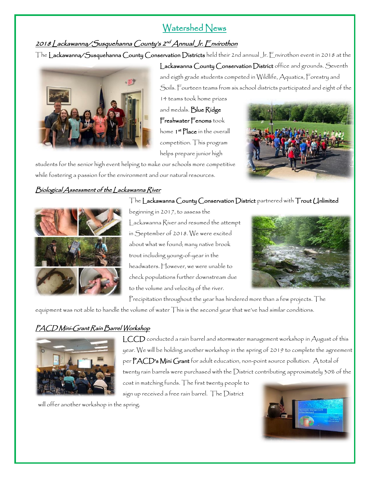# Watershed News

## 2018 Lackawanna/Susquehanna County's 2<sup>nd</sup> Annual Jr. <u>F</u>nvírothon

The Lackawanna/Susquehanna County Conservation Districts held their 2nd annual Jr. Envirothon event in 2018 at the Lackawanna County Conservation District office and grounds. Seventh and eigth grade students competed in Wildlife, Aquatics, Forestry and Soils. Fourteen teams from six school districts participated and eight of the

> 14 teams took home prizes and medals. Blue Ridge Freshwater Fenoms took home **1<sup>st</sup> Place** in the overall competition. This program helps prepare junior high

students for the senior high event helping to make our schools more competitive while fostering a passion for the environment and our natural resources.

### Biological Assessment of the Lackawanna River

#### The Lackawanna County Conservation District partnered with Trout Unlimited



beginning in 2017, to assess the Lackawanna River and resumed the attempt in September of 2018. We were excited about what we found; many native brook trout including young-of-year in the headwaters. However, we were unable to check populations further downstream due to the volume and velocity of the river.



Precipitation throughout the year has hindered more than a few projects. The

equipment was not able to handle the volume of water This is the second year that we've had similar conditions.

## PACD Mini-Grant Rain Barrel Workshop



LCCD conducted a rain barrel and stormwater management workshop in August of this year. We will be holding another workshop in the spring of 2019 to complete the agreement per PACD's Mini Grant for adult education, non-point source pollution. A total of twenty rain barrels were purchased with the District contributing approximately 30% of the cost in matching funds. The first twenty people to

sign up received a free rain barrel. The District

will offer another workshop in the spring.

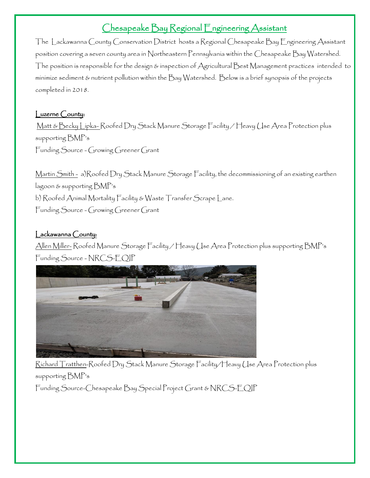# Chesapeake Bay Regional Engineering Assistant

The Lackawanna County Conservation District hosts a Regional Chesapeake Bay Engineering Assistant position covering a seven county area in Northeastern Pennsylvania within the Chesapeake Bay Watershed. The position is responsible for the design & inspection of Agricultural Best Management practices intended to minimize sediment & nutrient pollution within the Bay Watershed. Below is a brief synopsis of the projects completed in 2018.

#### Luzerne County:

Matt & Becky Lipka- Roofed Dry Stack Manure Storage Facility / Heavy Use Area Protection plus supporting BMP's Funding Source - Growing Greener Grant

Martin Smith - a)Roofed Dry Stack Manure Storage Facility, the decommissioning of an existing earthen lagoon & supporting BMP's b) Roofed Animal Mortality Facility & Waste Transfer Scrape Lane. Funding Source - Growing Greener Grant

#### Lackawanna County:

Allen Miller- Roofed Manure Storage Facility / Heavy Use Area Protection plus supporting BMP's Funding Source - NRCS-EQIP



Richard Tratthen-Roofed Dry Stack Manure Storage Facility/Heavy Use Area Protection plus supporting BMP's

Funding Source-Chesapeake Bay Special Project Grant & NRCS-EQIP